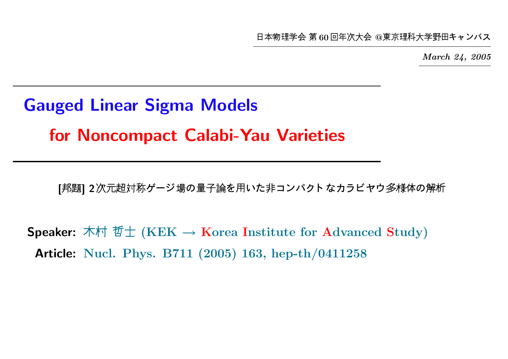本物理学会 第60回年次大会 @東京理科大学野田キャンパ

March 24, 2005

# Gauged Linear Sigma Models for Noncompact Calabi-Yau Varieties

[邦題] 2次元超対称ゲージ場の量子論を用いた非コンパクト なカラビヤウ多様体の解析

Speaker: 木村 哲士 (KEK  $\rightarrow$  Korea Institute for Advanced Study) Article: Nucl. Phys. B711 (2005) 163, hep-th/0411258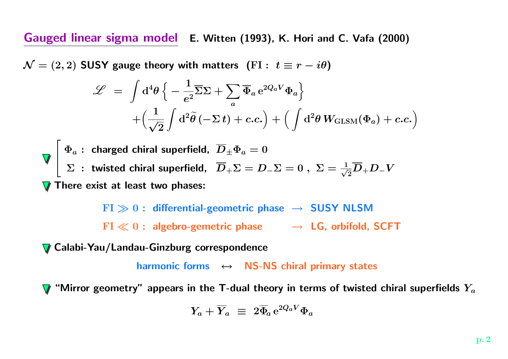Gauged linear sigma model E. Witten (1993), K. Hori and C. Vafa (2000)

 $\mathcal{N}=(2,2)$  SUSY gauge theory with matters  $\,({\rm FI}:\,\, t\equiv r-i\theta)\,$ 

$$
\mathcal{L} = \int d^4 \theta \left\{ -\frac{1}{e^2} \overline{\Sigma} \Sigma + \sum_a \overline{\Phi}_a e^{2Q_a V} \Phi_a \right\} + \left( \frac{1}{\sqrt{2}} \int d^2 \tilde{\theta} \left( -\Sigma t \right) + c.c. \right) + \left( \int d^2 \theta W_{\text{GLSM}}(\Phi_a) + c.c. \right)
$$

 $\sqrt{ }$  $\begin{array}{c} \end{array}$  $\Phi_a$  : charged chiral superfield,  $D_\pm \Phi_a = 0$  $\Sigma$  : twisted chiral superfield,  $\overline{D}_+\Sigma=D_-\Sigma=0\;,\;\Sigma=\frac{1}{\sqrt{2}}\overline{D}_+D_-V$ There exist at least two phases:

> $\mathrm{FI} \gg 0:$  differential-geometric phase  $\;\rightarrow\;$  SUSY NLSM  $\mathrm{FI} \ll 0$  : algebro-gemetric phase  $\quad \rightarrow \; \mathsf{LG}$ , orbifold, SCFT

Calabi-Yau/Landau-Ginzburg correspondence

harmonic forms  $\;\leftrightarrow\;$  NS-NS chiral primary states

"Mirror geometry" appears in the T-dual theory in terms of twisted chiral superfields  $Y_a$ 

$$
Y_a + \overline{Y}_a \ \equiv \ 2 \overline{\Phi}_a \, \mathrm{e}^{2 Q_a V} \Phi_a
$$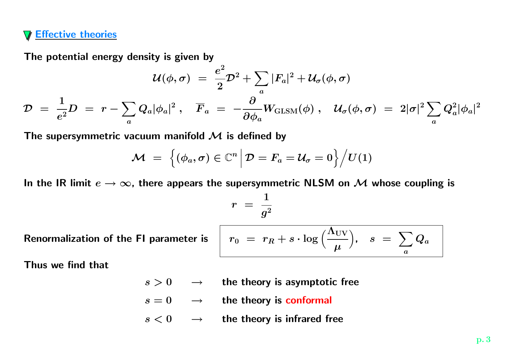### Effective theories

The potential energy density is given by

$$
\mathcal{U}(\phi,\sigma) \;=\; \frac{e^2}{2}\mathcal{D}^2 + \sum_a|F_a|^2 + \mathcal{U}_\sigma(\phi,\sigma)\\ \mathcal{D} \;=\; \frac{1}{e^2}D \;=\; r - \sum_aQ_a|\phi_a|^2\,,\quad \overline{F}_a \;=\; -\frac{\partial}{\partial\phi_a}W_{\text{GLSM}}(\phi)\;,\quad \mathcal{U}_\sigma(\phi,\sigma) \;=\; 2|\sigma|^2\sum_aQ_a^2|\phi_a|^2
$$

The supersymmetric vacuum manifold  ${\mathcal M}$  is defined by

$$
\mathcal{M} \;=\; \Big\{(\phi_a, \sigma) \in \mathbb{C}^n \, \Big| \, \mathcal{D} = F_a = \mathcal{U}_\sigma = 0 \Big\} \Big/ U(1)
$$

In the IR limit  $e \to \infty$ , there appears the supersymmetric NLSM on  ${\mathcal M}$  whose coupling is

 $\bm{r}$   $\,=\,$ 1  $g^2$ 

Renormalization of the FI parameter is  $\quad \mid \; r_0 \; = \; r_R$ 

$$
r_0\ =\ r_R+s\cdot \log\Big(\frac{\Lambda_\mathrm{UV}}{\mu}\Big),\quad s\ =\ \sum_a Q_a
$$

Thus we find that

- s > 0 <sup>→</sup> the theory is asymptotic free
- $s=0\hspace{0.4cm}\rightarrow \hspace{0.4cm}$  the theory is conformal
- $s < 0 \quad \rightarrow \quad$  the theory is infrared free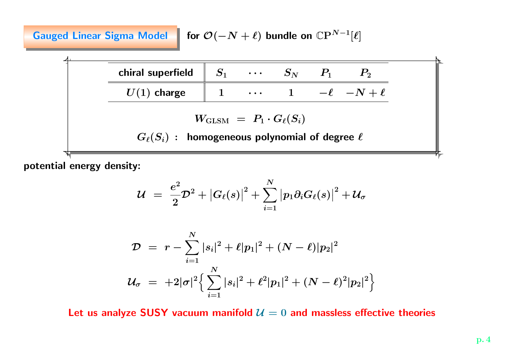Gauged Linear Sigma Model for  $\mathcal{O}(-N + \ell)$  bundle on  $\mathbb{C}P^{N-1}[\ell]$ 



potential energy density:

$$
\mathcal{U} ~=~ \frac{e^2}{2}\mathcal{D}^2 + \big|G_\ell(s)\big|^2 + \sum_{i=1}^N \big|p_1\partial_i G_\ell(s)\big|^2 + \mathcal{U}_\sigma
$$

$$
\begin{array}{lcl} \mathcal{D} & = & r - \sum\limits_{i = 1}^N { |s_i |^2 } + \ell |p_1|^2 + (N - \ell) |p_2|^2 \\[5pt] \mathcal{U}_\sigma & = & + 2 |\sigma|^2 \Big\{ \sum\limits_{i = 1}^N |s_i|^2 + \ell^2 |p_1|^2 + (N - \ell)^2 |p_2|^2 \Big\} \end{array}
$$

Let us analyze <code>SUSY</code> vacuum manifold  $\mathcal{U}=0$  and massless effective theories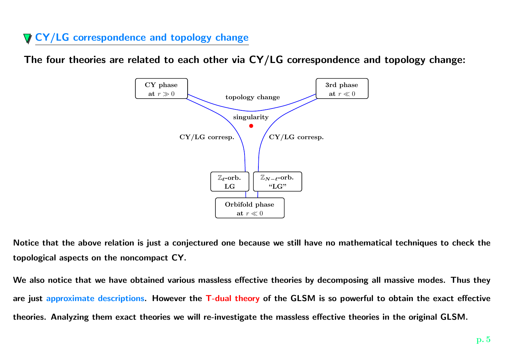## **V CY/LG correspondence and topology change**

The four theories are related to each other via CY/LG correspondence and topology change:



Notice that the above relation is just <sup>a</sup> conjectured one because we still have no mathematical techniques to check the topological aspects on the noncompact CY.

We also notice that we have obtained various massless effective theories by decomposing all massive modes. Thus they are just approximate descriptions. However the T-dual theory of the GLSM is so powerful to obtain the exact effective theories. Analyzing them exact theories we will re-investigate the massless effective theories in the original GLSM.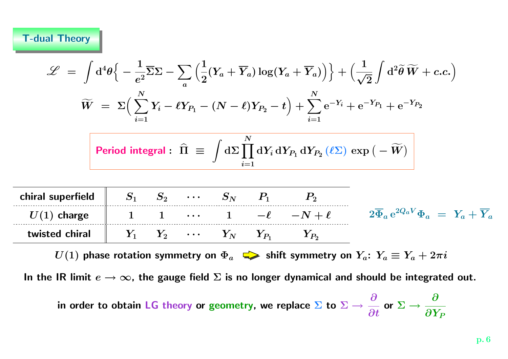$|c|$ 

$$
\mathcal{L} = \int d^4\theta \Big\{ -\frac{1}{e^2} \Sigma \Sigma - \sum_a \Big( \frac{1}{2} (Y_a + \overline{Y}_a) \log(Y_a + \overline{Y}_a) \Big) \Big\} + \Big( \frac{1}{\sqrt{2}} \int d^2\tilde{\theta} \widetilde{W} + c.c. \Big)
$$
  

$$
\widetilde{W} = \Sigma \Big( \sum_{i=1}^N Y_i - \ell Y_{P_1} - (N - \ell) Y_{P_2} - t \Big) + \sum_{i=1}^N e^{-Y_i} + e^{-Y_{P_1}} + e^{-Y_{P_2}}
$$
  
Period integral:  $\widehat{\Pi} \equiv \int d\Sigma \prod_{i=1}^N dY_i dY_{P_1} dY_{P_2} (\ell \Sigma) \exp(-\widetilde{W})$   
hiral superfield  $S_1 S_2 \cdots S_N P_1 P_2$   
 $U(1)$  charge  $1 \quad 1 \quad \cdots \quad 1 \quad -\ell \quad -N + \ell \quad 2 \overline{\Phi}_a e^{2Q_a V} \Phi_a = Y_a + \overline{Y}_a$   
twisted chiral  $Y_1 Y_2 \cdots Y_N Y_{P_1} Y_{P_2}$ 

 $U(1)$  phase rotation symmetry on  $\Phi_a$   $\implies$  shift symmetry on  $Y_a$ :  $Y_a \equiv Y_a + 2\pi i$ 

In the IR limit  $e \to \infty$ , the gauge field  $\Sigma$  is no longer dynamical and should be integrated out.

in order to obtain LG theory or geometry, we replace  $\boldsymbol{\Sigma}$  to  $\boldsymbol{\Sigma} \rightarrow$  $\boldsymbol{\partial}$ ∂tor  $\Sigma$   $\rightarrow$  $\boldsymbol{\partial}$  $\partial Y_P$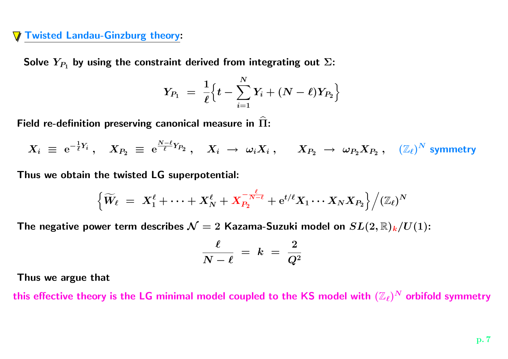#### Twisted Landau-Ginzburg theory:

Solve  $Y_{P_1}$  by using the constraint derived from integrating out  $\Sigma$ :

$$
Y_{P_1} \;=\; \frac{1}{\ell} \Big\{ t - \sum_{i=1}^N Y_i + (N-\ell) Y_{P_2} \Big\}
$$

Field re-definition preserving canonical measure in  $\widehat\Pi$ :

$$
X_i \; \equiv \; {\rm e}^{- \frac{1}{\ell} Y_i} \; , \quad X_{P_2} \; \equiv \; {\rm e}^{\frac{N - \ell}{\ell} Y_{P_2}} \; , \quad X_i \; \rightarrow \; \omega_i X_i \; , \qquad X_{P_2} \; \rightarrow \; \omega_{P_2} X_{P_2} \; , \quad (\mathbb{Z}_\ell)^N \; {\rm symmetry}
$$

Thus we obtain the twisted LG superpotential:

$$
\Big\{ \widetilde W_\ell \;=\; X_1^\ell + \cdots + X_N^\ell + X_{P_2}^{-\frac{\ell}{N-\ell}} + \mathrm{e}^{t/\ell} X_1 \cdots X_N X_{P_2} \Big\} \Big/ (\mathbb{Z}_\ell)^N
$$

The negative power term describes  ${\cal N}=2$  Kazama-Suzuki model on  $SL(2,\mathbb{R})_{\bm{k}}/U(1)$ :

$$
\frac{\ell}{N-\ell} \; = \; k \; = \; \frac{2}{Q^2}
$$

Thus we argue that

this effective theory is the LG minimal model coupled to the KS model with  $(\mathbb{Z}_\ell)^N$  orbifold symmetry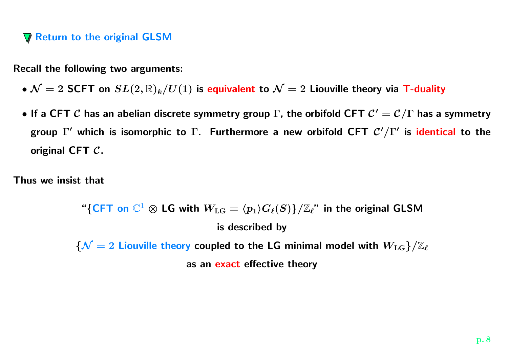## Return to the original GLSM

Recall the following two arguments:

- $\bullet$   ${\cal N}=2$  SCFT on  $SL(2,\mathbb{R})_k/U(1)$  is equivalent to  ${\cal N}=2$  Liouville theory via T-duality
- $\bullet$  If a CFT  $\cal C$  has an abelian discrete symmetry group  $\Gamma$ , the orbifold CFT  ${\cal C}' = {\cal C}/\Gamma$  has a symmetry group  $\Gamma'$  which is isomorphic to  $\Gamma$ . Furthermore a new orbifold CFT  $\mathcal{C}'/\Gamma'$  is identical to the original CFT C.

Thus we insist that

"{CFT on  $\mathbb{C}^1$   $\otimes$  LG with  $W_{\text{LG}} = \langle p_1 \rangle G_{\ell}(S)$ }/ $\mathbb{Z}_{\ell}$ " in the original GLSM is described by  ${N = 2}$  Liouville theory coupled to the LG minimal model with  ${W_{\rm LG}}/{\mathbb Z}_\ell$ as an <mark>exact</mark> effective theory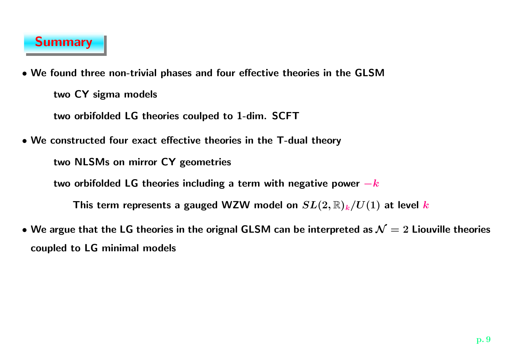

• We found three non-trivial phases and four effective theories in the GLSM two CY sigma models

two orbifolded LG theories coulped to 1-dim. SCFT

• We constructed four exact effective theories in the T-dual theory

two NLSMs on mirror CY geometries

two orbifolded LG theories including a term with negative power  $-k$ 

This term represents a gauged WZW model on  $SL(2,\mathbb{R})_k/U(1)$  at level  $k$ 

 $\bullet$  We argue that the LG theories in the orignal GLSM can be interpreted as  $\mathcal{N}=2$  Liouville theories coupled to LG minimal models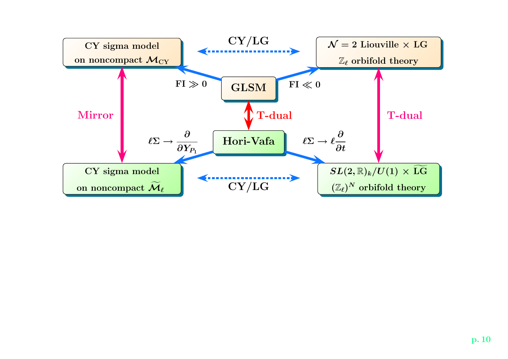